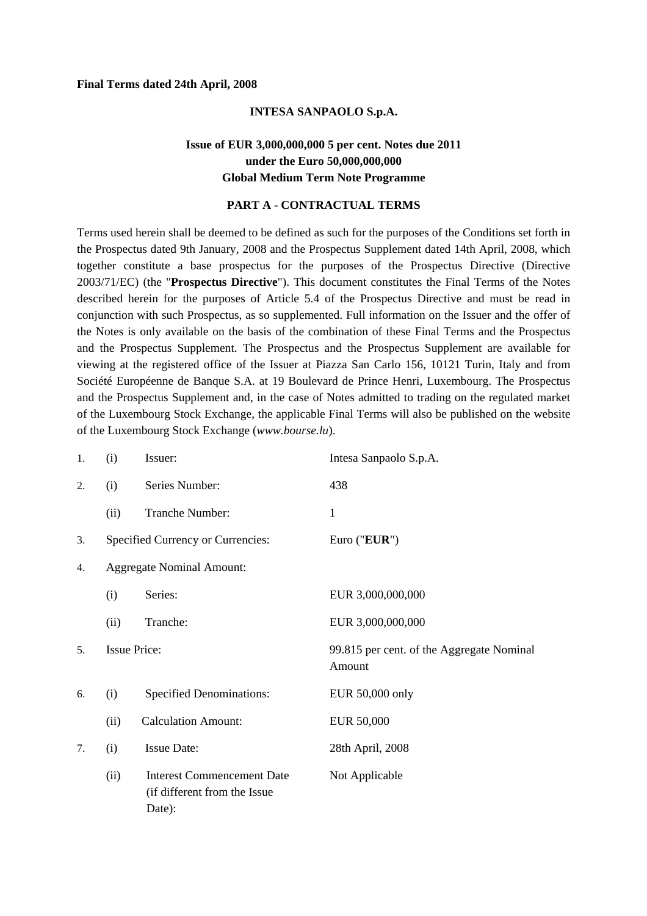#### **Final Terms dated 24th April, 2008**

#### **INTESA SANPAOLO S.p.A.**

# **Issue of EUR 3,000,000,000 5 per cent. Notes due 2011 under the Euro 50,000,000,000 Global Medium Term Note Programme**

#### **PART A - CONTRACTUAL TERMS**

Terms used herein shall be deemed to be defined as such for the purposes of the Conditions set forth in the Prospectus dated 9th January, 2008 and the Prospectus Supplement dated 14th April, 2008, which together constitute a base prospectus for the purposes of the Prospectus Directive (Directive 2003/71/EC) (the "**Prospectus Directive**"). This document constitutes the Final Terms of the Notes described herein for the purposes of Article 5.4 of the Prospectus Directive and must be read in conjunction with such Prospectus, as so supplemented. Full information on the Issuer and the offer of the Notes is only available on the basis of the combination of these Final Terms and the Prospectus and the Prospectus Supplement. The Prospectus and the Prospectus Supplement are available for viewing at the registered office of the Issuer at Piazza San Carlo 156, 10121 Turin, Italy and from Société Européenne de Banque S.A. at 19 Boulevard de Prince Henri, Luxembourg. The Prospectus and the Prospectus Supplement and, in the case of Notes admitted to trading on the regulated market of the Luxembourg Stock Exchange, the applicable Final Terms will also be published on the website of the Luxembourg Stock Exchange (*www.bourse.lu*).

| 1.             | (i)                              | Issuer:                                                                     | Intesa Sanpaolo S.p.A.                              |
|----------------|----------------------------------|-----------------------------------------------------------------------------|-----------------------------------------------------|
| 2.             | (i)                              | Series Number:                                                              | 438                                                 |
|                | (ii)                             | Tranche Number:                                                             | 1                                                   |
| 3.             |                                  | Specified Currency or Currencies:                                           | Euro ("EUR")                                        |
| 4.             | <b>Aggregate Nominal Amount:</b> |                                                                             |                                                     |
|                | (i)                              | Series:                                                                     | EUR 3,000,000,000                                   |
|                | (ii)                             | Tranche:                                                                    | EUR 3,000,000,000                                   |
| 5 <sub>1</sub> | <b>Issue Price:</b>              |                                                                             | 99.815 per cent. of the Aggregate Nominal<br>Amount |
| 6.             | (i)                              | <b>Specified Denominations:</b>                                             | EUR 50,000 only                                     |
|                | (ii)                             | <b>Calculation Amount:</b>                                                  | <b>EUR 50,000</b>                                   |
| 7.             | (i)                              | <b>Issue Date:</b>                                                          | 28th April, 2008                                    |
|                | (ii)                             | <b>Interest Commencement Date</b><br>(if different from the Issue<br>Date): | Not Applicable                                      |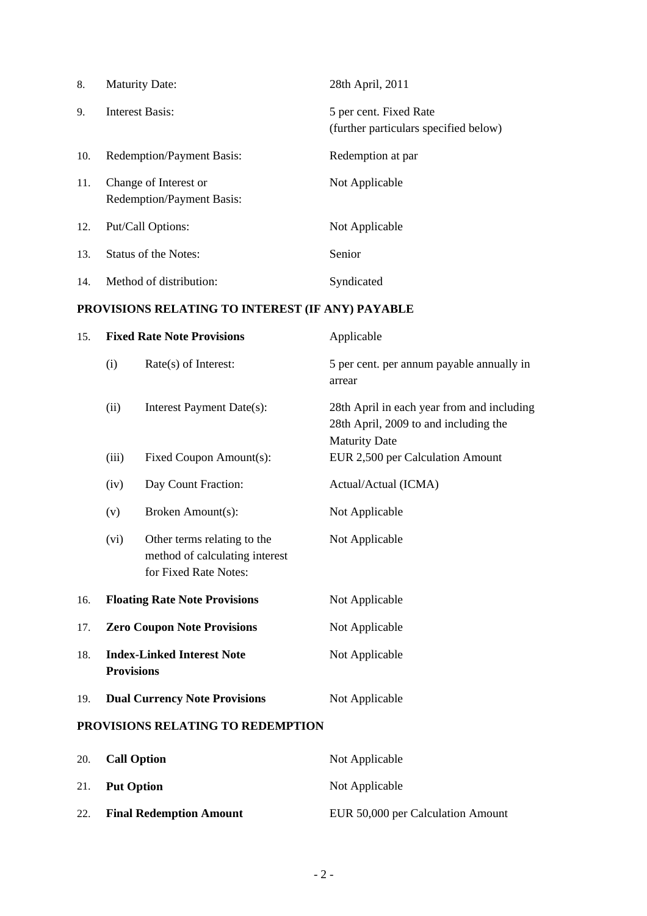| 8.  | <b>Maturity Date:</b>                                     | 28th April, 2011                                                |
|-----|-----------------------------------------------------------|-----------------------------------------------------------------|
| 9.  | Interest Basis:                                           | 5 per cent. Fixed Rate<br>(further particulars specified below) |
| 10. | <b>Redemption/Payment Basis:</b>                          | Redemption at par                                               |
| 11. | Change of Interest or<br><b>Redemption/Payment Basis:</b> | Not Applicable                                                  |
| 12. | Put/Call Options:                                         | Not Applicable                                                  |
| 13. | <b>Status of the Notes:</b>                               | Senior                                                          |
| 14. | Method of distribution:                                   | Syndicated                                                      |

# **PROVISIONS RELATING TO INTEREST (IF ANY) PAYABLE**

| 15. | <b>Fixed Rate Note Provisions</b>                      |                                                                                        | Applicable                                                                                                  |  |
|-----|--------------------------------------------------------|----------------------------------------------------------------------------------------|-------------------------------------------------------------------------------------------------------------|--|
|     | (i)                                                    | Rate(s) of Interest:                                                                   | 5 per cent. per annum payable annually in<br>arrear                                                         |  |
|     | (ii)                                                   | Interest Payment Date(s):                                                              | 28th April in each year from and including<br>28th April, 2009 to and including the<br><b>Maturity Date</b> |  |
|     | (iii)                                                  | Fixed Coupon Amount(s):                                                                | EUR 2,500 per Calculation Amount                                                                            |  |
|     | (iv)                                                   | Day Count Fraction:                                                                    | Actual/Actual (ICMA)                                                                                        |  |
|     | (v)                                                    | Broken Amount(s):                                                                      | Not Applicable                                                                                              |  |
|     | (vi)                                                   | Other terms relating to the<br>method of calculating interest<br>for Fixed Rate Notes: | Not Applicable                                                                                              |  |
| 16. |                                                        | <b>Floating Rate Note Provisions</b>                                                   | Not Applicable                                                                                              |  |
| 17. | <b>Zero Coupon Note Provisions</b>                     |                                                                                        | Not Applicable                                                                                              |  |
| 18. | <b>Index-Linked Interest Note</b><br><b>Provisions</b> |                                                                                        | Not Applicable                                                                                              |  |
| 19. |                                                        | <b>Dual Currency Note Provisions</b>                                                   | Not Applicable                                                                                              |  |
|     |                                                        | PROVISIONS RELATING TO REDEMPTION                                                      |                                                                                                             |  |
| 20. | <b>Call Option</b>                                     |                                                                                        | Not Applicable                                                                                              |  |
| 21. |                                                        | <b>Put Option</b>                                                                      | Not Applicable                                                                                              |  |

22. **Final Redemption Amount** EUR 50,000 per Calculation Amount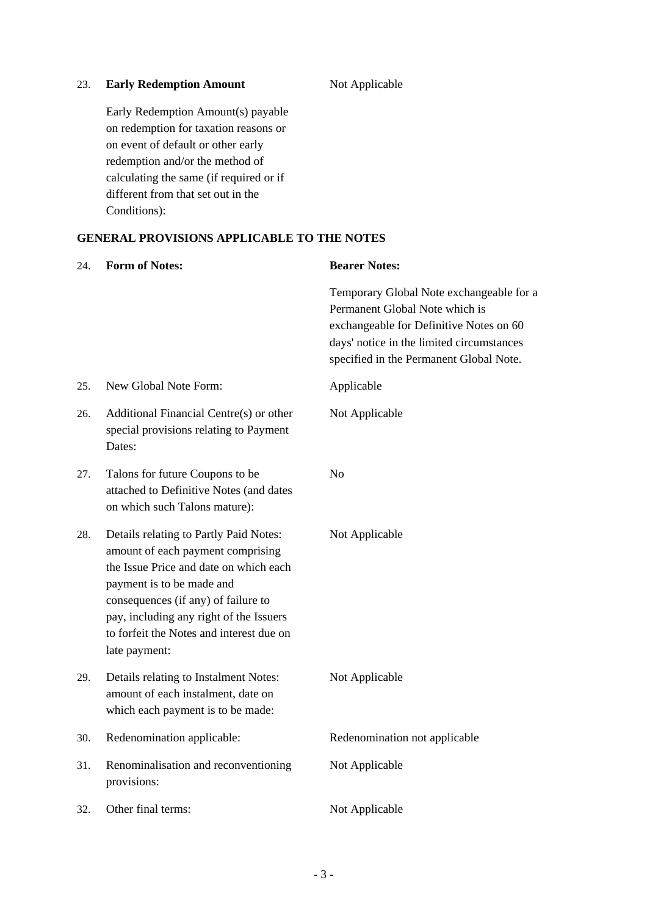### 23. **Early Redemption Amount**

Not Applicable

Early Redemption Amount(s) payable on redemption for taxation reasons or on event of default or other early redemption and/or the method of calculating the same (if required or if different from that set out in the Conditions):

## **GENERAL PROVISIONS APPLICABLE TO THE NOTES**

| 24. | <b>Form of Notes:</b>                                                                                                                                                                                                                                                                             | <b>Bearer Notes:</b>                                                                                                                                                                                          |
|-----|---------------------------------------------------------------------------------------------------------------------------------------------------------------------------------------------------------------------------------------------------------------------------------------------------|---------------------------------------------------------------------------------------------------------------------------------------------------------------------------------------------------------------|
|     |                                                                                                                                                                                                                                                                                                   | Temporary Global Note exchangeable for a<br>Permanent Global Note which is<br>exchangeable for Definitive Notes on 60<br>days' notice in the limited circumstances<br>specified in the Permanent Global Note. |
| 25. | New Global Note Form:                                                                                                                                                                                                                                                                             | Applicable                                                                                                                                                                                                    |
| 26. | Additional Financial Centre(s) or other<br>special provisions relating to Payment<br>Dates:                                                                                                                                                                                                       | Not Applicable                                                                                                                                                                                                |
| 27. | Talons for future Coupons to be<br>attached to Definitive Notes (and dates<br>on which such Talons mature):                                                                                                                                                                                       | No                                                                                                                                                                                                            |
| 28. | Details relating to Partly Paid Notes:<br>amount of each payment comprising<br>the Issue Price and date on which each<br>payment is to be made and<br>consequences (if any) of failure to<br>pay, including any right of the Issuers<br>to forfeit the Notes and interest due on<br>late payment: | Not Applicable                                                                                                                                                                                                |
| 29. | Details relating to Instalment Notes:<br>amount of each instalment, date on<br>which each payment is to be made:                                                                                                                                                                                  | Not Applicable                                                                                                                                                                                                |
| 30. | Redenomination applicable:                                                                                                                                                                                                                                                                        | Redenomination not applicable                                                                                                                                                                                 |
| 31. | Renominalisation and reconventioning<br>provisions:                                                                                                                                                                                                                                               | Not Applicable                                                                                                                                                                                                |
| 32. | Other final terms:                                                                                                                                                                                                                                                                                | Not Applicable                                                                                                                                                                                                |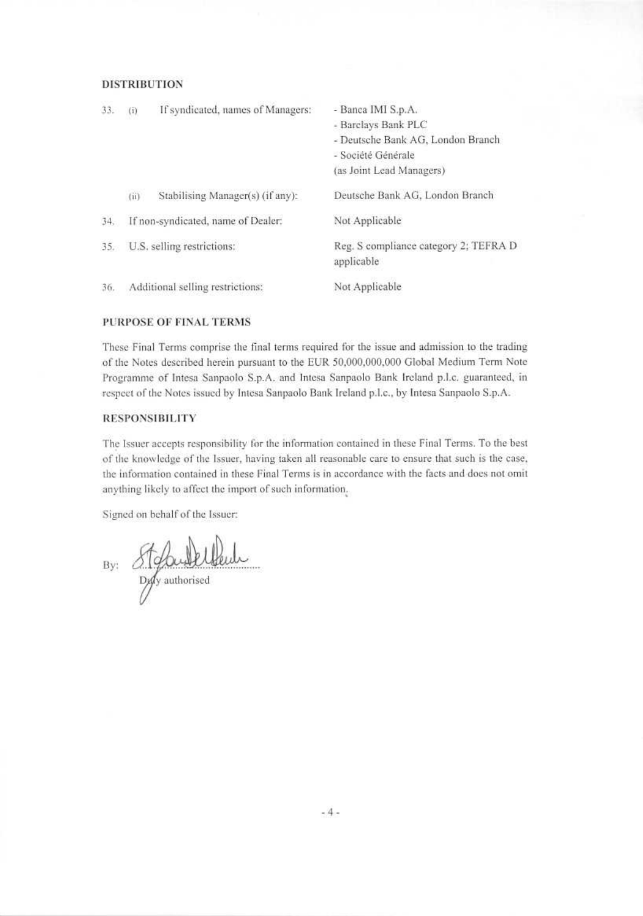#### **DISTRIBUTION**

| 33. | (i)                        | If syndicated, names of Managers:  | - Banca IMI S.p.A.<br>- Barclays Bank PLC<br>- Deutsche Bank AG, London Branch<br>- Société Générale<br>(as Joint Lead Managers) |
|-----|----------------------------|------------------------------------|----------------------------------------------------------------------------------------------------------------------------------|
|     | (ii)                       | Stabilising Manager(s) (if any):   | Deutsche Bank AG, London Branch                                                                                                  |
| 34. |                            | If non-syndicated, name of Dealer: | Not Applicable                                                                                                                   |
| 35. | U.S. selling restrictions: |                                    | Reg. S compliance category 2; TEFRA D<br>applicable                                                                              |
| 36. |                            | Additional selling restrictions:   | Not Applicable                                                                                                                   |

#### PURPOSE OF FINAL TERMS

These Final Terms comprise the final terms required for the issue and admission to the trading of the Notes described herein pursuant to the EUR 50,000,000,000 Global Medium Term Note Programme of Intesa Sanpaolo S.p.A. and Intesa Sanpaolo Bank Ireland p.l.c. guaranteed, in respect of the Notes issued by Intesa Sanpaolo Bank Ireland p.l.c., by Intesa Sanpaolo S.p.A.

### **RESPONSIBILITY**

The Issuer accepts responsibility for the information contained in these Final Terms. To the best of the knowledge of the Issuer, having taken all reasonable care to ensure that such is the case, the information contained in these Final Terms is in accordance with the facts and does not omit anything likely to affect the import of such information.

Signed on behalf of the Issuer:

By: Stefandelleule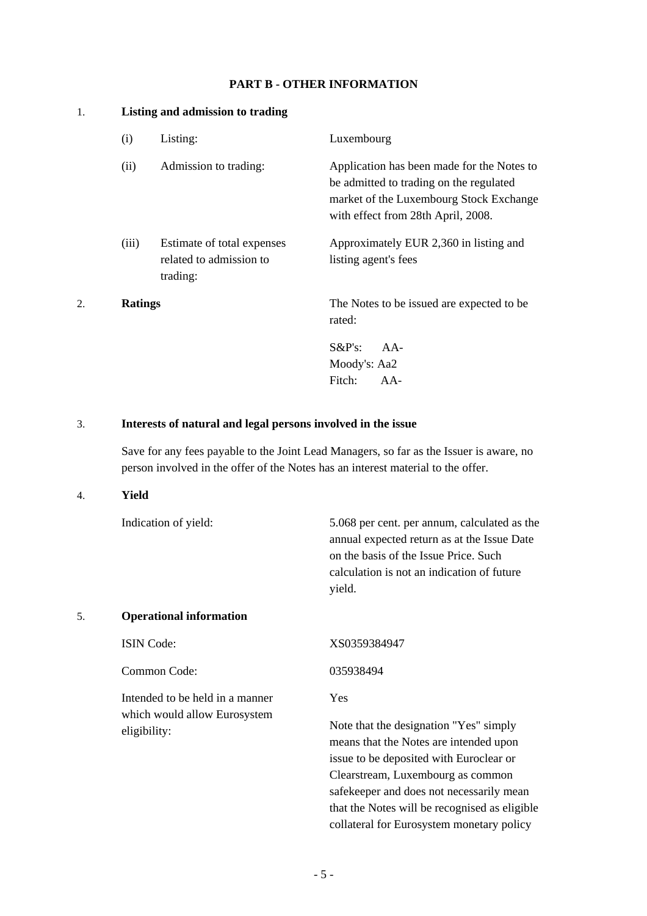## **PART B - OTHER INFORMATION**

### 1. **Listing and admission to trading**

| (i)            | Listing:                                                          | Luxembourg                                                                                                                                                             |
|----------------|-------------------------------------------------------------------|------------------------------------------------------------------------------------------------------------------------------------------------------------------------|
| (ii)           | Admission to trading:                                             | Application has been made for the Notes to<br>be admitted to trading on the regulated<br>market of the Luxembourg Stock Exchange<br>with effect from 28th April, 2008. |
| (iii)          | Estimate of total expenses<br>related to admission to<br>trading: | Approximately EUR 2,360 in listing and<br>listing agent's fees                                                                                                         |
| <b>Ratings</b> |                                                                   | The Notes to be issued are expected to be<br>rated:                                                                                                                    |
|                |                                                                   | $S\&P's:$<br>$AA-$<br>Moody's: Aa2<br>Fitch:<br>$AA-$                                                                                                                  |

# 3. **Interests of natural and legal persons involved in the issue**

 Save for any fees payable to the Joint Lead Managers, so far as the Issuer is aware, no person involved in the offer of the Notes has an interest material to the offer.

### 4. **Yield**

|    | Indication of yield:                         | 5.068 per cent. per annum, calculated as the<br>annual expected return as at the Issue Date<br>on the basis of the Issue Price. Such<br>calculation is not an indication of future<br>yield. |
|----|----------------------------------------------|----------------------------------------------------------------------------------------------------------------------------------------------------------------------------------------------|
| 5. | <b>Operational information</b>               |                                                                                                                                                                                              |
|    | <b>ISIN</b> Code:                            | XS0359384947                                                                                                                                                                                 |
|    | Common Code:                                 | 035938494                                                                                                                                                                                    |
|    | Intended to be held in a manner              | <b>Yes</b>                                                                                                                                                                                   |
|    | which would allow Eurosystem<br>eligibility: | Note that the designation "Yes" simply                                                                                                                                                       |

means that the Notes are intended upon issue to be deposited with Euroclear or Clearstream, Luxembourg as common safekeeper and does not necessarily mean that the Notes will be recognised as eligible collateral for Eurosystem monetary policy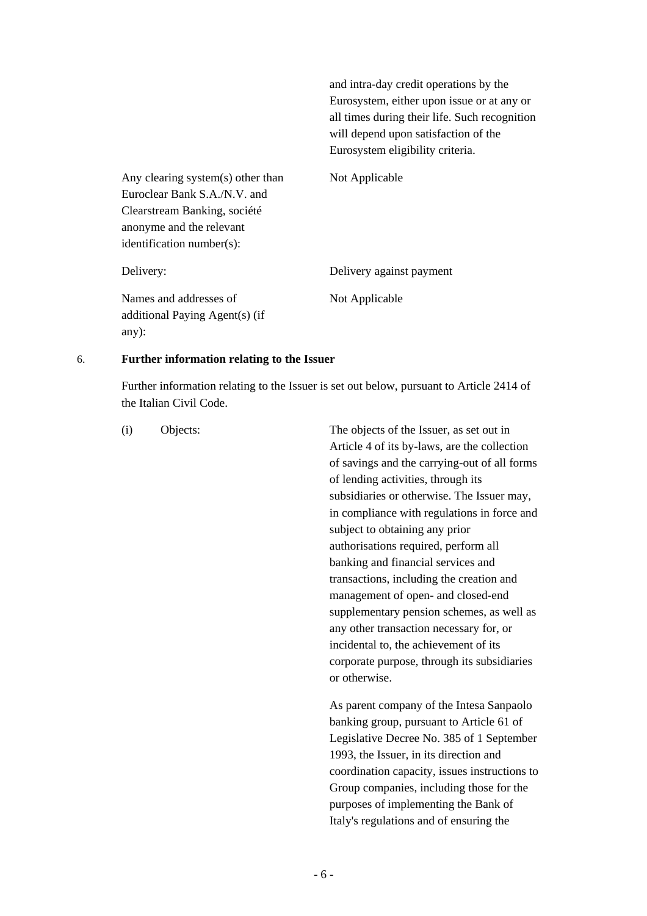and intra-day credit operations by the Eurosystem, either upon issue or at any or all times during their life. Such recognition will depend upon satisfaction of the Eurosystem eligibility criteria.

 Any clearing system(s) other than Euroclear Bank S.A./N.V. and Clearstream Banking, société anonyme and the relevant identification number(s):

 Names and addresses of additional Paying Agent(s) (if any):

Not Applicable

Delivery: Delivery against payment Not Applicable

### 6. **Further information relating to the Issuer**

 Further information relating to the Issuer is set out below, pursuant to Article 2414 of the Italian Civil Code.

 (i) Objects: The objects of the Issuer, as set out in Article 4 of its by-laws, are the collection of savings and the carrying-out of all forms of lending activities, through its subsidiaries or otherwise. The Issuer may, in compliance with regulations in force and subject to obtaining any prior authorisations required, perform all banking and financial services and transactions, including the creation and management of open- and closed-end supplementary pension schemes, as well as any other transaction necessary for, or incidental to, the achievement of its corporate purpose, through its subsidiaries or otherwise.

> As parent company of the Intesa Sanpaolo banking group, pursuant to Article 61 of Legislative Decree No. 385 of 1 September 1993, the Issuer, in its direction and coordination capacity, issues instructions to Group companies, including those for the purposes of implementing the Bank of Italy's regulations and of ensuring the